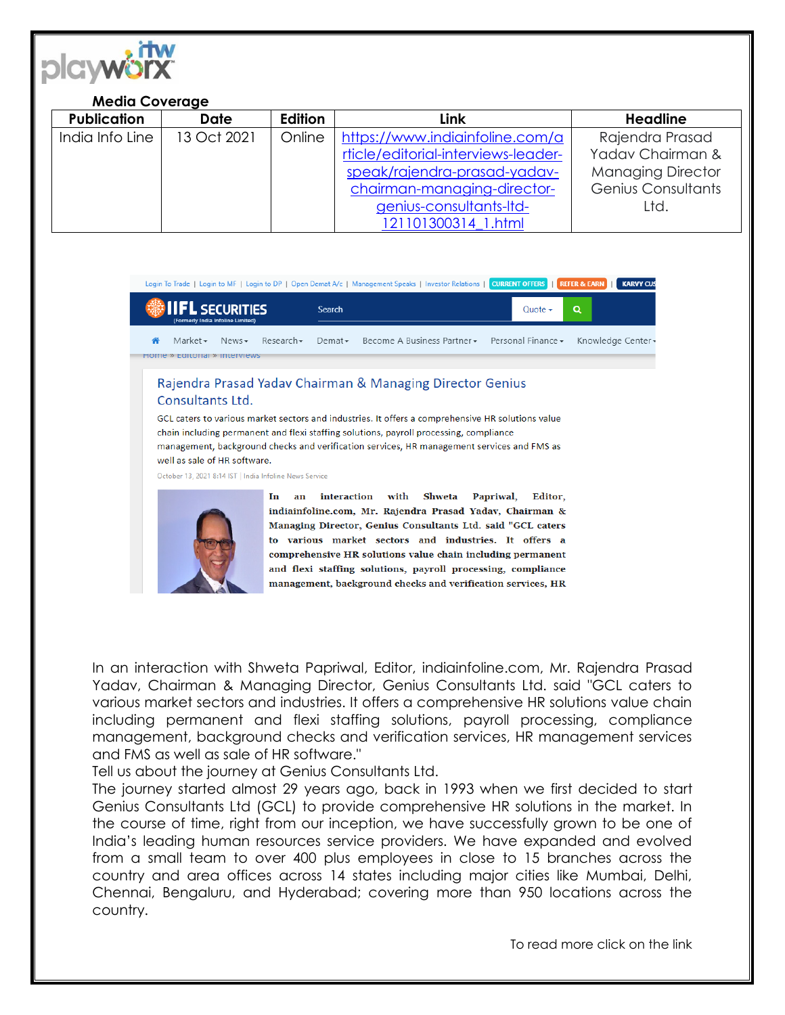

## **Media Coverage**

|  | <b>Publication</b> | <b>Date</b> | Edition | Link                                | <b>Headline</b>           |
|--|--------------------|-------------|---------|-------------------------------------|---------------------------|
|  | India Info Line    | 13 Oct 2021 | Online  | https://www.indiainfoline.com/a     | Rajendra Prasad           |
|  |                    |             |         | rticle/editorial-interviews-leader- | Yadav Chairman &          |
|  |                    |             |         | speak/rajendra-prasad-yadav-        | <b>Managing Director</b>  |
|  |                    |             |         | chairman-managing-director-         | <b>Genius Consultants</b> |
|  |                    |             |         | genius-consultants-ltd-             | Ltd.                      |
|  |                    |             |         | 121101300314 1.html                 |                           |

|                                                                                                                                                                                                                                                                                                                                                                                                                                                                       | Login To Trade   Login to MF   Login to DP   Open Demat A/c   Management Speaks   Investor Relations   CURRENT OFFERS | <b>REFER &amp; EARN</b><br><b>KARVY CUS</b> |  |  |  |  |
|-----------------------------------------------------------------------------------------------------------------------------------------------------------------------------------------------------------------------------------------------------------------------------------------------------------------------------------------------------------------------------------------------------------------------------------------------------------------------|-----------------------------------------------------------------------------------------------------------------------|---------------------------------------------|--|--|--|--|
| <b>SECURITIES</b><br>(Formerly India Infoline Limited)                                                                                                                                                                                                                                                                                                                                                                                                                | Search                                                                                                                | $\alpha$<br>Quote $\sim$                    |  |  |  |  |
| Research<br>Market $\star$<br>News<br>Home » Editorial » interviews                                                                                                                                                                                                                                                                                                                                                                                                   | Become A Business Partner $\bullet$ Personal Finance $\bullet$<br>Demat                                               | Knowledge Center                            |  |  |  |  |
| Rajendra Prasad Yadav Chairman & Managing Director Genius<br>Consultants Ltd.<br>GCL caters to various market sectors and industries. It offers a comprehensive HR solutions value<br>chain including permanent and flexi staffing solutions, payroll processing, compliance<br>management, background checks and verification services, HR management services and FMS as<br>well as sale of HR software.<br>October 13, 2021 8:14 IST   India Infoline News Service |                                                                                                                       |                                             |  |  |  |  |
| In<br>an                                                                                                                                                                                                                                                                                                                                                                                                                                                              | interaction<br>with<br>Shweta<br>indiainfoline com Mr. Raiendra Prasad Vadav. Chairman $\&$                           | Papriwal,<br>Editor.                        |  |  |  |  |



Managing Director, Genius Consultants Ltd. said "GCL caters to various market sectors and industries. It offers a comprehensive HR solutions value chain including permanent and flexi staffing solutions, payroll processing, compliance management, background checks and verification services, HR

In an interaction with Shweta Papriwal, Editor, indiainfoline.com, Mr. Rajendra Prasad Yadav, Chairman & Managing Director, Genius Consultants Ltd. said "GCL caters to various market sectors and industries. It offers a comprehensive HR solutions value chain including permanent and flexi staffing solutions, payroll processing, compliance management, background checks and verification services, HR management services and FMS as well as sale of HR software."

Tell us about the journey at Genius Consultants Ltd.

The journey started almost 29 years ago, back in 1993 when we first decided to start Genius Consultants Ltd (GCL) to provide comprehensive HR solutions in the market. In the course of time, right from our inception, we have successfully grown to be one of India's leading human resources service providers. We have expanded and evolved from a small team to over 400 plus employees in close to 15 branches across the country and area offices across 14 states including major cities like Mumbai, Delhi, Chennai, Bengaluru, and Hyderabad; covering more than 950 locations across the country.

To read more click on the link